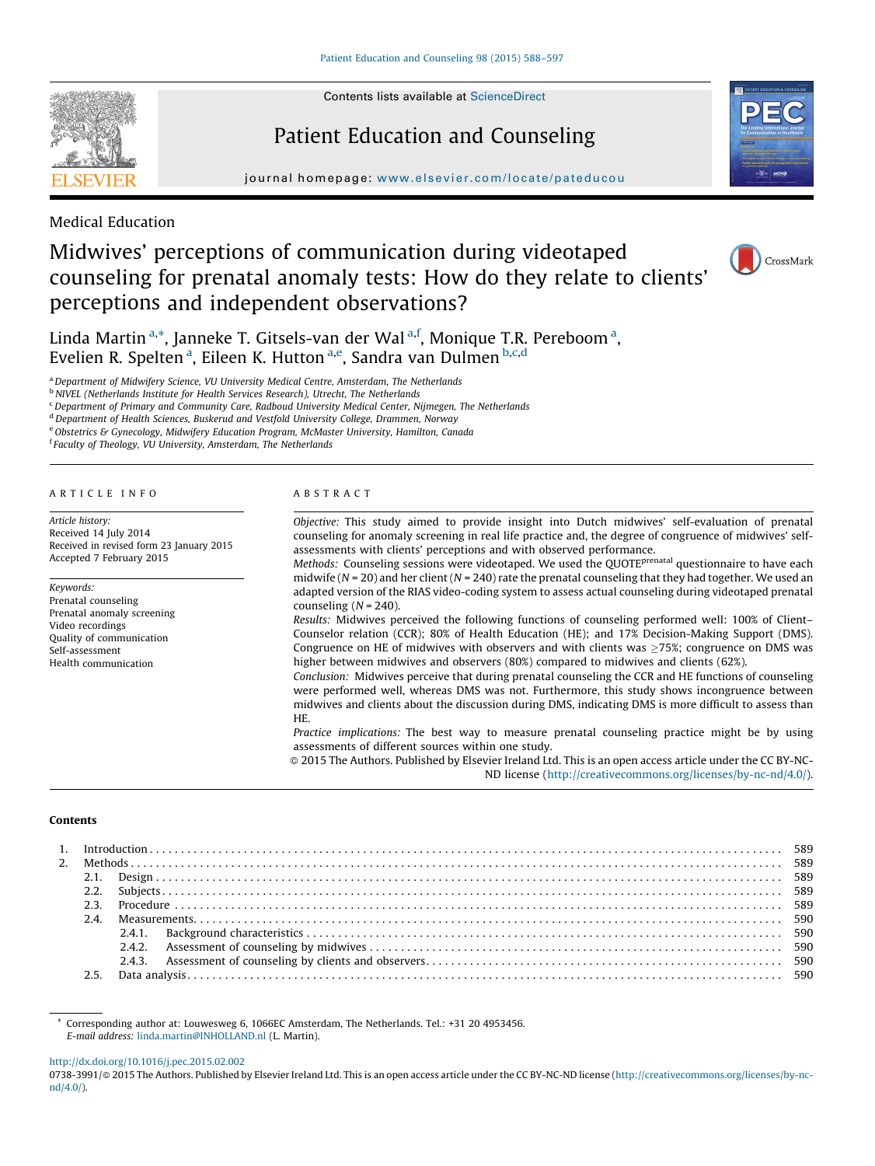Contents lists available at [ScienceDirect](http://www.sciencedirect.com/science/journal/07383991)

# Patient Education and Counseling



journal homepage: <www.elsevier.com/locate/pateducou>

Medical Education

# Midwives' perceptions of communication during videotaped counseling for prenatal anomaly tests: How do they relate to clients' perceptions and independent observations?



Linda Martin<sup>a,\*</sup>, Janneke T. Gitsels-van der Wal<sup>a,f</sup>, Monique T.R. Pereboom<sup>a</sup>, Evelien R. Spelten<sup>a</sup>, Eileen K. Hutton<sup>a,e</sup>, Sandra van Dulmen b,c,d

<sup>a</sup> Department of Midwifery Science, VU University Medical Centre, Amsterdam, The Netherlands

<sup>b</sup> NIVEL (Netherlands Institute for Health Services Research), Utrecht, The Netherlands

<sup>c</sup> Department of Primary and Community Care, Radboud University Medical Center, Nijmegen, The Netherlands

<sup>d</sup> Department of Health Sciences, Buskerud and Vestfold University College, Drammen, Norway

e Obstetrics & Gynecology, Midwifery Education Program, McMaster University, Hamilton, Canada

<sup>f</sup> Faculty of Theology, VU University, Amsterdam, The Netherlands

#### A R T I C L E I N F O

Article history: Received 14 July 2014 Received in revised form 23 January 2015 Accepted 7 February 2015

Keywords: Prenatal counseling Prenatal anomaly screening Video recordings Quality of communication Self-assessment Health communication

## A B S T R A C T

Objective: This study aimed to provide insight into Dutch midwives' self-evaluation of prenatal counseling for anomaly screening in real life practice and, the degree of congruence of midwives' selfassessments with clients' perceptions and with observed performance.<br>*Methods: Counseling sessions were videotaped. We used the* QUOTE<sup>prenatal</sup> questionnaire to have each

midwife ( $N = 20$ ) and her client ( $N = 240$ ) rate the prenatal counseling that they had together. We used an adapted version of the RIAS video-coding system to assess actual counseling during videotaped prenatal counseling  $(N = 240)$ .

Results: Midwives perceived the following functions of counseling performed well: 100% of Client– Counselor relation (CCR); 80% of Health Education (HE); and 17% Decision-Making Support (DMS). Congruence on HE of midwives with observers and with clients was  $\geq$ 75%; congruence on DMS was higher between midwives and observers (80%) compared to midwives and clients (62%).

Conclusion: Midwives perceive that during prenatal counseling the CCR and HE functions of counseling were performed well, whereas DMS was not. Furthermore, this study shows incongruence between midwives and clients about the discussion during DMS, indicating DMS is more difficult to assess than HE.

Practice implications: The best way to measure prenatal counseling practice might be by using assessments of different sources within one study.

- 2015 The Authors. Published by Elsevier Ireland Ltd. This is an open access article under the CC BY-NC-ND license (<http://creativecommons.org/licenses/by-nc-nd/4.0/>).

#### Contents

\* Corresponding author at: Louwesweg 6, 1066EC Amsterdam, The Netherlands. Tel.: +31 20 4953456. E-mail address: [linda.martin@INHOLLAND.nl](mailto:linda.martin@INHOLLAND.nl) (L. Martin).

#### <http://dx.doi.org/10.1016/j.pec.2015.02.002>

0738-3991/@ 2015 The Authors. Published by Elsevier Ireland Ltd. This is an open access article under the CC BY-NC-ND license [\(http://creativecommons.org/licenses/by-nc](http://creativecommons.org/licenses/by-nc-nd/4.0/)[nd/4.0/\)](http://creativecommons.org/licenses/by-nc-nd/4.0/).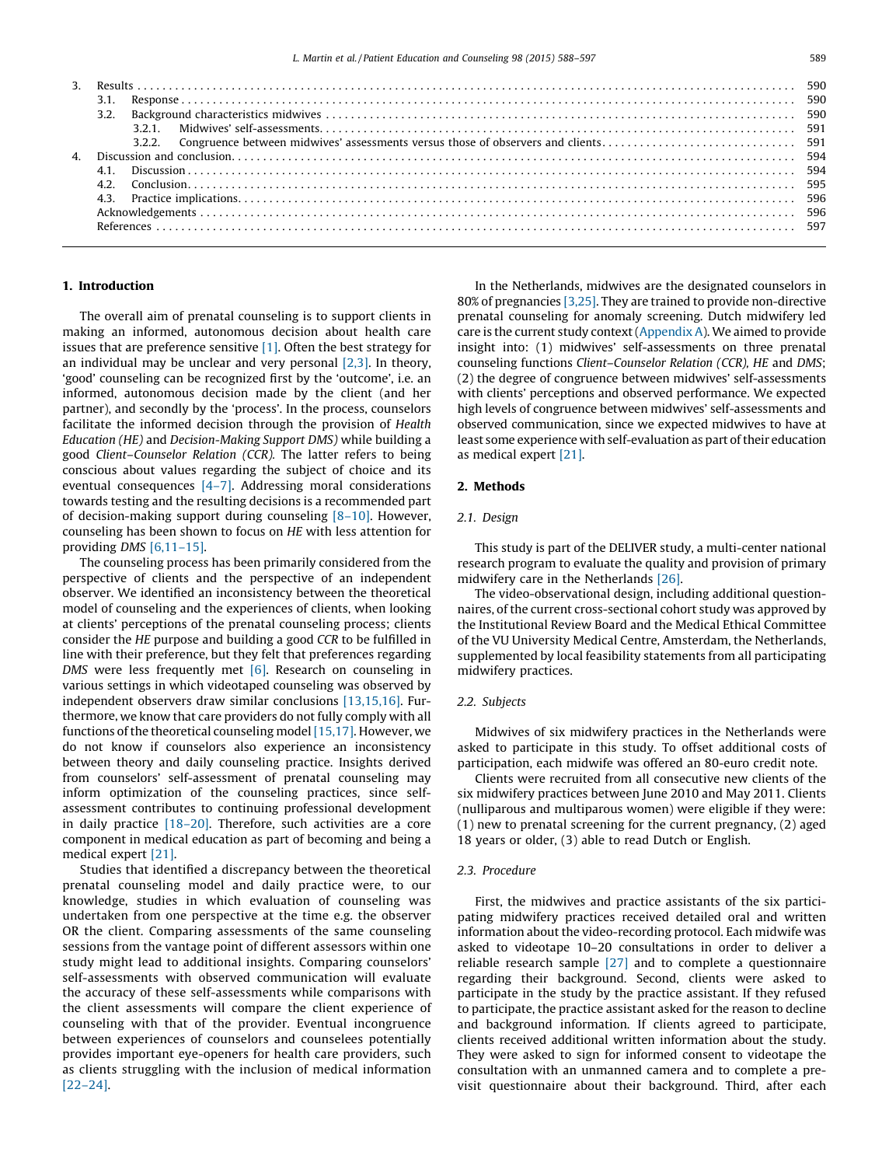|  | 3.2. |  |  |  |  |
|--|------|--|--|--|--|
|  |      |  |  |  |  |
|  |      |  |  |  |  |
|  |      |  |  |  |  |
|  | 4.1. |  |  |  |  |
|  | 42   |  |  |  |  |
|  |      |  |  |  |  |
|  |      |  |  |  |  |
|  |      |  |  |  |  |
|  |      |  |  |  |  |

## 1. Introduction

The overall aim of prenatal counseling is to support clients in making an informed, autonomous decision about health care issues that are preference sensitive [\[1\]](#page-9-0). Often the best strategy for an individual may be unclear and very personal  $[2,3]$ . In theory, 'good' counseling can be recognized first by the 'outcome', i.e. an informed, autonomous decision made by the client (and her partner), and secondly by the 'process'. In the process, counselors facilitate the informed decision through the provision of Health Education (HE) and Decision-Making Support DMS) while building a good Client–Counselor Relation (CCR). The latter refers to being conscious about values regarding the subject of choice and its eventual consequences [\[4–7\].](#page-9-0) Addressing moral considerations towards testing and the resulting decisions is a recommended part of decision-making support during counseling [\[8–10\].](#page-9-0) However, counseling has been shown to focus on HE with less attention for providing DMS [\[6,11–15\].](#page-9-0)

The counseling process has been primarily considered from the perspective of clients and the perspective of an independent observer. We identified an inconsistency between the theoretical model of counseling and the experiences of clients, when looking at clients' perceptions of the prenatal counseling process; clients consider the HE purpose and building a good CCR to be fulfilled in line with their preference, but they felt that preferences regarding DMS were less frequently met [\[6\]](#page-9-0). Research on counseling in various settings in which videotaped counseling was observed by independent observers draw similar conclusions [\[13,15,16\].](#page-9-0) Furthermore, we know that care providers do not fully comply with all functions of the theoretical counseling model [\[15,17\].](#page-9-0) However, we do not know if counselors also experience an inconsistency between theory and daily counseling practice. Insights derived from counselors' self-assessment of prenatal counseling may inform optimization of the counseling practices, since selfassessment contributes to continuing professional development in daily practice [\[18–20\]](#page-9-0). Therefore, such activities are a core component in medical education as part of becoming and being a medical expert [\[21\]](#page-9-0).

Studies that identified a discrepancy between the theoretical prenatal counseling model and daily practice were, to our knowledge, studies in which evaluation of counseling was undertaken from one perspective at the time e.g. the observer OR the client. Comparing assessments of the same counseling sessions from the vantage point of different assessors within one study might lead to additional insights. Comparing counselors' self-assessments with observed communication will evaluate the accuracy of these self-assessments while comparisons with the client assessments will compare the client experience of counseling with that of the provider. Eventual incongruence between experiences of counselors and counselees potentially provides important eye-openers for health care providers, such as clients struggling with the inclusion of medical information [\[22–24\]](#page-9-0).

In the Netherlands, midwives are the designated counselors in 80% of pregnancies [\[3,25\].](#page-9-0) They are trained to provide non-directive prenatal counseling for anomaly screening. Dutch midwifery led care is the current study context[\(Appendix](#page-8-0) A). We aimed to provide insight into: (1) midwives' self-assessments on three prenatal counseling functions Client–Counselor Relation (CCR), HE and DMS; (2) the degree of congruence between midwives' self-assessments with clients' perceptions and observed performance. We expected high levels of congruence between midwives' self-assessments and observed communication, since we expected midwives to have at least some experience with self-evaluation as part of their education as medical expert [\[21\]](#page-9-0).

## 2. Methods

## 2.1. Design

This study is part of the DELIVER study, a multi-center national research program to evaluate the quality and provision of primary midwifery care in the Netherlands [\[26\]](#page-9-0).

The video-observational design, including additional questionnaires, of the current cross-sectional cohort study was approved by the Institutional Review Board and the Medical Ethical Committee of the VU University Medical Centre, Amsterdam, the Netherlands, supplemented by local feasibility statements from all participating midwifery practices.

## 2.2. Subjects

Midwives of six midwifery practices in the Netherlands were asked to participate in this study. To offset additional costs of participation, each midwife was offered an 80-euro credit note.

Clients were recruited from all consecutive new clients of the six midwifery practices between June 2010 and May 2011. Clients (nulliparous and multiparous women) were eligible if they were: (1) new to prenatal screening for the current pregnancy, (2) aged 18 years or older, (3) able to read Dutch or English.

#### 2.3. Procedure

First, the midwives and practice assistants of the six participating midwifery practices received detailed oral and written information about the video-recording protocol. Each midwife was asked to videotape 10–20 consultations in order to deliver a reliable research sample [\[27\]](#page-9-0) and to complete a questionnaire regarding their background. Second, clients were asked to participate in the study by the practice assistant. If they refused to participate, the practice assistant asked for the reason to decline and background information. If clients agreed to participate, clients received additional written information about the study. They were asked to sign for informed consent to videotape the consultation with an unmanned camera and to complete a previsit questionnaire about their background. Third, after each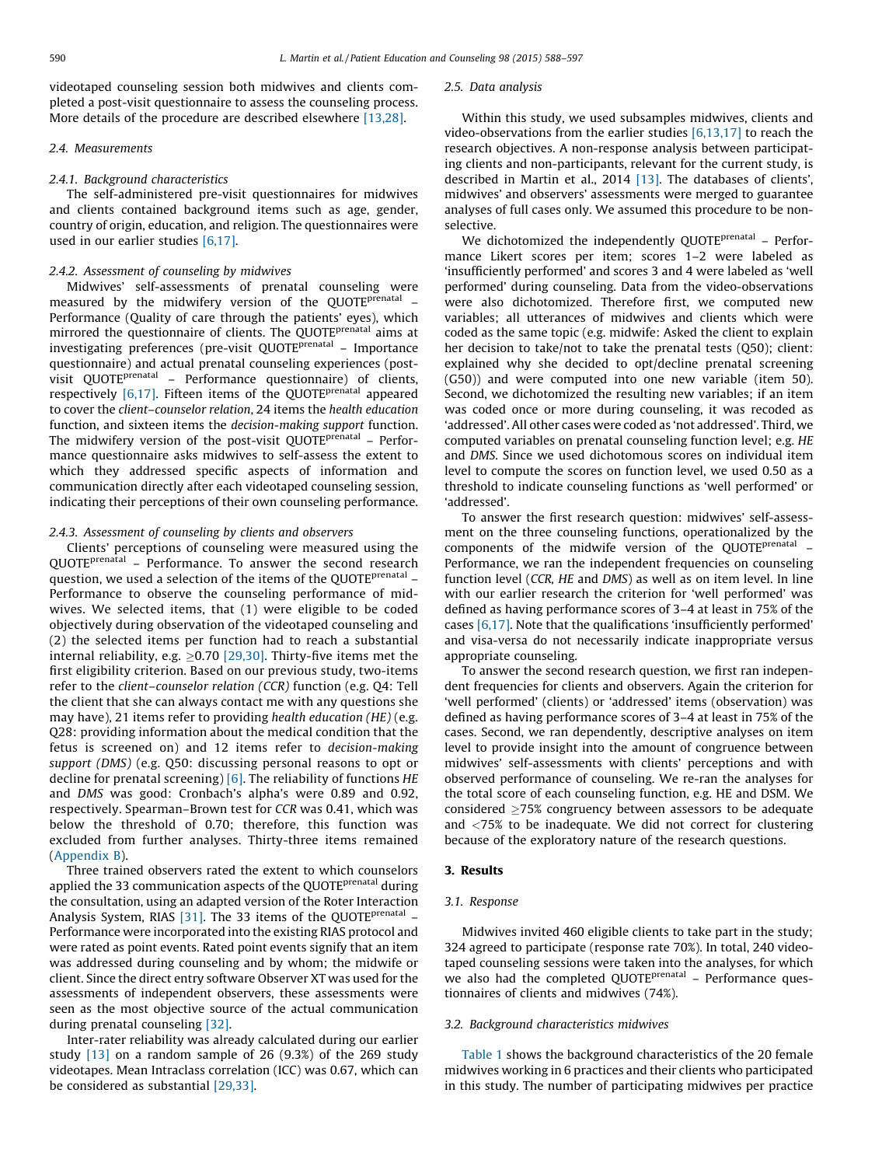videotaped counseling session both midwives and clients completed a post-visit questionnaire to assess the counseling process. More details of the procedure are described elsewhere [\[13,28\].](#page-9-0)

## 2.4. Measurements

## 2.4.1. Background characteristics

The self-administered pre-visit questionnaires for midwives and clients contained background items such as age, gender, country of origin, education, and religion. The questionnaires were used in our earlier studies [\[6,17\]](#page-9-0).

## 2.4.2. Assessment of counseling by midwives

Midwives' self-assessments of prenatal counseling were measured by the midwifery version of the QUOTEprenatal – Performance (Quality of care through the patients' eyes), which mirrored the questionnaire of clients. The QUOTE<sup>prenatal</sup> aims at investigating preferences (pre-visit QUOTEprenatal – Importance questionnaire) and actual prenatal counseling experiences (postvisit QUOTEprenatal – Performance questionnaire) of clients, respectively [\[6,17\]](#page-9-0). Fifteen items of the QUOTE<sup>prenatal</sup> appeared to cover the client–counselor relation, 24 items the health education function, and sixteen items the decision-making support function. The midwifery version of the post-visit QUOTE<sup>prenatal</sup> - Performance questionnaire asks midwives to self-assess the extent to which they addressed specific aspects of information and communication directly after each videotaped counseling session, indicating their perceptions of their own counseling performance.

#### 2.4.3. Assessment of counseling by clients and observers

Clients' perceptions of counseling were measured using the QUOTEprenatal – Performance. To answer the second research question, we used a selection of the items of the QUOTE<sup>prenatal</sup> -Performance to observe the counseling performance of midwives. We selected items, that (1) were eligible to be coded objectively during observation of the videotaped counseling and (2) the selected items per function had to reach a substantial internal reliability, e.g.  $\geq$ 0.70 [\[29,30\]](#page-9-0). Thirty-five items met the first eligibility criterion. Based on our previous study, two-items refer to the client–counselor relation (CCR) function (e.g. Q4: Tell the client that she can always contact me with any questions she may have), 21 items refer to providing health education (HE) (e.g. Q28: providing information about the medical condition that the fetus is screened on) and 12 items refer to decision-making support (DMS) (e.g. Q50: discussing personal reasons to opt or decline for prenatal screening)  $[6]$ . The reliability of functions HE and DMS was good: Cronbach's alpha's were 0.89 and 0.92, respectively. Spearman–Brown test for CCR was 0.41, which was below the threshold of 0.70; therefore, this function was excluded from further analyses. Thirty-three items remained ([Appendix](#page-8-0) B).

Three trained observers rated the extent to which counselors applied the 33 communication aspects of the QUOTE<sup>prenatal</sup> during the consultation, using an adapted version of the Roter Interaction Analysis System, RIAS  $[31]$ . The 33 items of the QUOTE<sup>prenatal</sup> – Performance were incorporated into the existing RIAS protocol and were rated as point events. Rated point events signify that an item was addressed during counseling and by whom; the midwife or client. Since the direct entry software Observer XT was used for the assessments of independent observers, these assessments were seen as the most objective source of the actual communication during prenatal counseling [\[32\].](#page-9-0)

Inter-rater reliability was already calculated during our earlier study [\[13\]](#page-9-0) on a random sample of 26 (9.3%) of the 269 study videotapes. Mean Intraclass correlation (ICC) was 0.67, which can be considered as substantial [\[29,33\].](#page-9-0)

#### 2.5. Data analysis

Within this study, we used subsamples midwives, clients and video-observations from the earlier studies  $[6,13,17]$  to reach the research objectives. A non-response analysis between participating clients and non-participants, relevant for the current study, is described in Martin et al., 2014 [\[13\].](#page-9-0) The databases of clients', midwives' and observers' assessments were merged to guarantee analyses of full cases only. We assumed this procedure to be nonselective.

We dichotomized the independently QUOTE<sup>prenatal</sup> – Performance Likert scores per item; scores 1–2 were labeled as 'insufficiently performed' and scores 3 and 4 were labeled as 'well performed' during counseling. Data from the video-observations were also dichotomized. Therefore first, we computed new variables; all utterances of midwives and clients which were coded as the same topic (e.g. midwife: Asked the client to explain her decision to take/not to take the prenatal tests (Q50); client: explained why she decided to opt/decline prenatal screening (G50)) and were computed into one new variable (item 50). Second, we dichotomized the resulting new variables; if an item was coded once or more during counseling, it was recoded as 'addressed'. All other cases were coded as 'not addressed'. Third, we computed variables on prenatal counseling function level; e.g. HE and DMS. Since we used dichotomous scores on individual item level to compute the scores on function level, we used 0.50 as a threshold to indicate counseling functions as 'well performed' or 'addressed'.

To answer the first research question: midwives' self-assessment on the three counseling functions, operationalized by the components of the midwife version of the QUOTE<sup>prenatal</sup> -Performance, we ran the independent frequencies on counseling function level (CCR, HE and DMS) as well as on item level. In line with our earlier research the criterion for 'well performed' was defined as having performance scores of 3–4 at least in 75% of the cases [\[6,17\]](#page-9-0). Note that the qualifications 'insufficiently performed' and visa-versa do not necessarily indicate inappropriate versus appropriate counseling.

To answer the second research question, we first ran independent frequencies for clients and observers. Again the criterion for 'well performed' (clients) or 'addressed' items (observation) was defined as having performance scores of 3–4 at least in 75% of the cases. Second, we ran dependently, descriptive analyses on item level to provide insight into the amount of congruence between midwives' self-assessments with clients' perceptions and with observed performance of counseling. We re-ran the analyses for the total score of each counseling function, e.g. HE and DSM. We considered  $\geq$ 75% congruency between assessors to be adequate and <75% to be inadequate. We did not correct for clustering because of the exploratory nature of the research questions.

## 3. Results

## 3.1. Response

Midwives invited 460 eligible clients to take part in the study; 324 agreed to participate (response rate 70%). In total, 240 videotaped counseling sessions were taken into the analyses, for which we also had the completed QUOTE<sup>prenatal</sup> - Performance questionnaires of clients and midwives (74%).

## 3.2. Background characteristics midwives

[Table](#page-3-0) 1 shows the background characteristics of the 20 female midwives working in 6 practices and their clients who participated in this study. The number of participating midwives per practice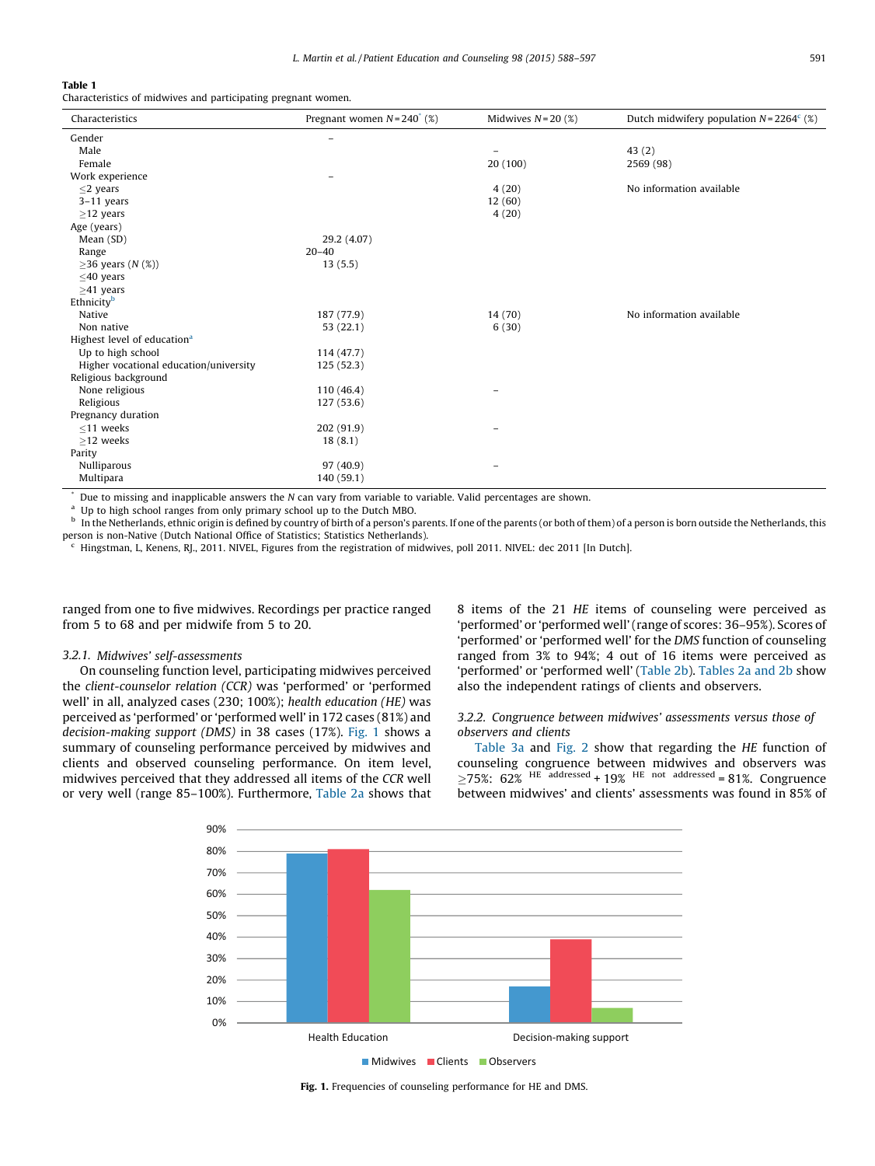#### <span id="page-3-0"></span>Table 1

Characteristics of midwives and participating pregnant women.

| Characteristics                         | Pregnant women $N = 240^{\circ}$ (%) | Midwives $N=20$ (%)      | Dutch midwifery population $N = 2264^c$ (%) |
|-----------------------------------------|--------------------------------------|--------------------------|---------------------------------------------|
| Gender                                  | $\overline{\phantom{0}}$             |                          |                                             |
| Male                                    |                                      | $\overline{a}$           | 43(2)                                       |
| Female                                  |                                      | 20(100)                  | 2569 (98)                                   |
| Work experience                         |                                      |                          |                                             |
| $\leq$ 2 years                          |                                      | 4(20)                    | No information available                    |
| $3-11$ years                            |                                      | 12(60)                   |                                             |
| $\geq$ 12 years                         |                                      | 4(20)                    |                                             |
| Age (years)                             |                                      |                          |                                             |
| Mean (SD)                               | 29.2 (4.07)                          |                          |                                             |
| Range                                   | $20 - 40$                            |                          |                                             |
| $\geq$ 36 years (N $(\%)$ )             | 13(5.5)                              |                          |                                             |
| $\leq$ 40 years                         |                                      |                          |                                             |
| $\geq$ 41 years                         |                                      |                          |                                             |
| Ethnicity <sup>b</sup>                  |                                      |                          |                                             |
| Native                                  | 187 (77.9)                           | 14 (70)                  | No information available                    |
| Non native                              | 53 (22.1)                            | 6(30)                    |                                             |
| Highest level of education <sup>a</sup> |                                      |                          |                                             |
| Up to high school                       | 114 (47.7)                           |                          |                                             |
| Higher vocational education/university  | 125(52.3)                            |                          |                                             |
| Religious background                    |                                      |                          |                                             |
| None religious                          | 110 (46.4)                           | $\overline{\phantom{0}}$ |                                             |
| Religious                               | 127 (53.6)                           |                          |                                             |
| Pregnancy duration                      |                                      |                          |                                             |
| $\leq$ 11 weeks                         | 202 (91.9)                           |                          |                                             |
| >12 weeks                               | 18(8.1)                              |                          |                                             |
| Parity                                  |                                      |                          |                                             |
| Nulliparous                             | 97 (40.9)                            | $\qquad \qquad -$        |                                             |
| Multipara                               | 140 (59.1)                           |                          |                                             |

Due to missing and inapplicable answers the N can vary from variable to variable. Valid percentages are shown.

Up to high school ranges from only primary school up to the Dutch MBO.

<sup>b</sup> In the Netherlands, ethnic origin is defined by country of birth of a person's parents. If one of the parents (or both of them) of a person is born outside the Netherlands, this person is non-Native (Dutch National Office of Statistics; Statistics Netherlands).

<sup>c</sup> Hingstman, L, Kenens, RJ., 2011. NIVEL, Figures from the registration of midwives, poll 2011. NIVEL: dec 2011 [In Dutch].

ranged from one to five midwives. Recordings per practice ranged from 5 to 68 and per midwife from 5 to 20.

## 3.2.1. Midwives' self-assessments

On counseling function level, participating midwives perceived the client-counselor relation (CCR) was 'performed' or 'performed well' in all, analyzed cases (230; 100%); health education (HE) was perceived as 'performed' or 'performed well' in 172 cases (81%) and decision-making support (DMS) in 38 cases (17%). Fig. 1 shows a summary of counseling performance perceived by midwives and clients and observed counseling performance. On item level, midwives perceived that they addressed all items of the CCR well or very well (range 85–100%). Furthermore, [Table](#page-4-0) 2a shows that 8 items of the 21 HE items of counseling were perceived as 'performed' or 'performed well'(range of scores: 36–95%). Scores of 'performed' or 'performed well' for the DMS function of counseling ranged from 3% to 94%; 4 out of 16 items were perceived as 'performed' or 'performed well' [\(Table](#page-4-0) 2b). [Tables](#page-4-0) 2a and 2b show also the independent ratings of clients and observers.

## 3.2.2. Congruence between midwives' assessments versus those of observers and clients

[Table](#page-5-0) 3a and [Fig.](#page-5-0) 2 show that regarding the HE function of counseling congruence between midwives and observers was  $\geq$ 75%: 62% HE addressed + 19% HE not addressed = 81%. Congruence between midwives' and clients' assessments was found in 85% of



**Midwives Clients Observers** 

Fig. 1. Frequencies of counseling performance for HE and DMS.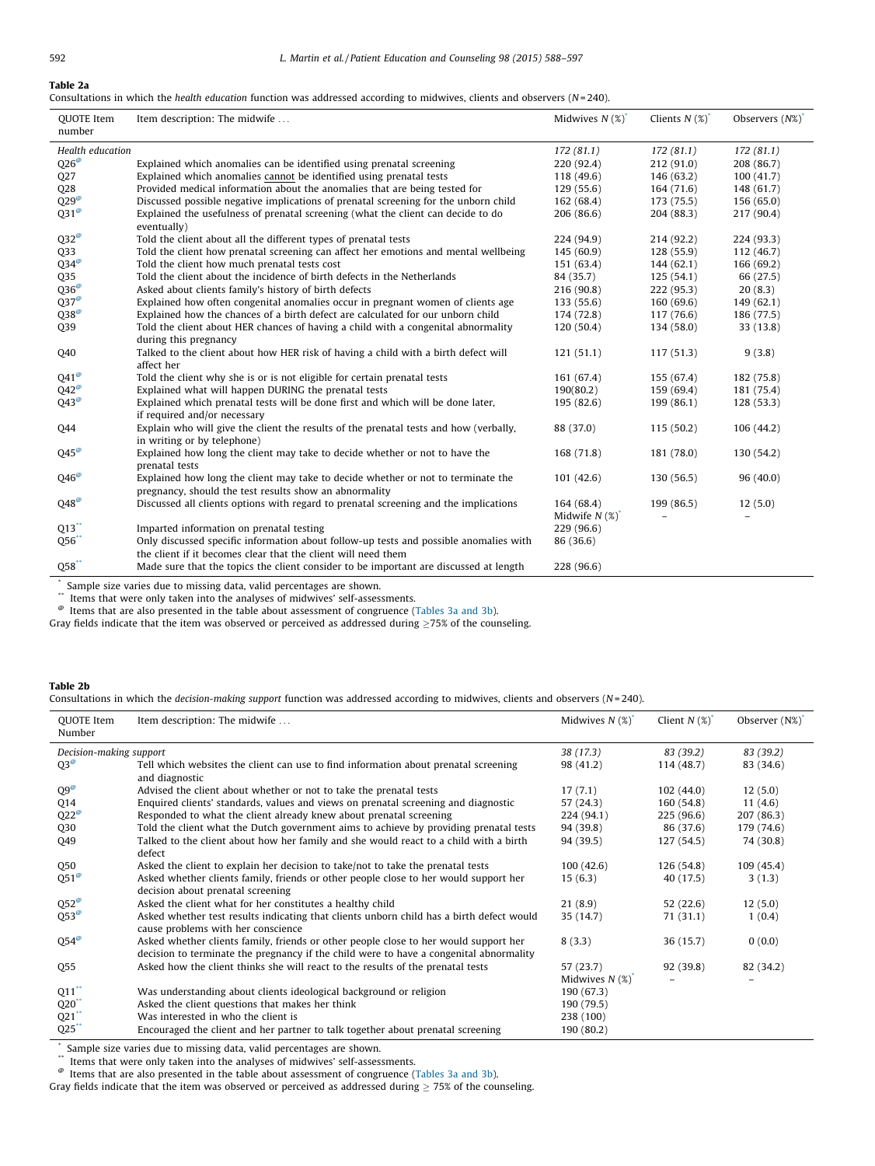### <span id="page-4-0"></span>Table 2a

Consultations in which the health education function was addressed according to midwives, clients and observers ( $N=240$ ).

| <b>QUOTE</b> Item<br>number | Item description: The midwife                                                                                                                          | Midwives $N(\%)$              | Clients $N(\%)$ | Observers (N%) |
|-----------------------------|--------------------------------------------------------------------------------------------------------------------------------------------------------|-------------------------------|-----------------|----------------|
| Health education            |                                                                                                                                                        | 172 (81.1)                    | 172(81.1)       | 172(81.1)      |
| $Q26^\circ$                 | Explained which anomalies can be identified using prenatal screening                                                                                   | 220 (92.4)                    | 212 (91.0)      | 208 (86.7)     |
| Q27                         | Explained which anomalies cannot be identified using prenatal tests                                                                                    | 118 (49.6)                    | 146 (63.2)      | 100(41.7)      |
| Q28                         | Provided medical information about the anomalies that are being tested for                                                                             | 129(55.6)                     | 164 (71.6)      | 148 (61.7)     |
| $029^\circ$                 | Discussed possible negative implications of prenatal screening for the unborn child                                                                    | 162 (68.4)                    | 173 (75.5)      | 156 (65.0)     |
| $Q31^{\circ}$               | Explained the usefulness of prenatal screening (what the client can decide to do<br>eventually)                                                        | 206 (86.6)                    | 204 (88.3)      | 217 (90.4)     |
| $032^\circ$                 | Told the client about all the different types of prenatal tests                                                                                        | 224 (94.9)                    | 214 (92.2)      | 224 (93.3)     |
| Q33                         | Told the client how prenatal screening can affect her emotions and mental wellbeing                                                                    | 145(60.9)                     | 128 (55.9)      | 112 (46.7)     |
| $034^\circ$                 | Told the client how much prenatal tests cost                                                                                                           | 151 (63.4)                    | 144 (62.1)      | 166 (69.2)     |
| Q35                         | Told the client about the incidence of birth defects in the Netherlands                                                                                | 84 (35.7)                     | 125(54.1)       | 66 (27.5)      |
| $Q36^\circ$                 | Asked about clients family's history of birth defects                                                                                                  | 216 (90.8)                    | 222 (95.3)      | 20(8.3)        |
| $Q37^\circ$                 | Explained how often congenital anomalies occur in pregnant women of clients age                                                                        | 133 (55.6)                    | 160(69.6)       | 149 (62.1)     |
| $Q38^\circ$                 | Explained how the chances of a birth defect are calculated for our unborn child                                                                        | 174 (72.8)                    | 117 (76.6)      | 186 (77.5)     |
| Q39                         | Told the client about HER chances of having a child with a congenital abnormality<br>during this pregnancy                                             | 120(50.4)                     | 134 (58.0)      | 33 (13.8)      |
| <b>Q40</b>                  | Talked to the client about how HER risk of having a child with a birth defect will<br>affect her                                                       | 121(51.1)                     | 117(51.3)       | 9(3.8)         |
| $Q41^{\circ}$               | Told the client why she is or is not eligible for certain prenatal tests                                                                               | 161 (67.4)                    | 155 (67.4)      | 182 (75.8)     |
| $Q42^\circ$                 | Explained what will happen DURING the prenatal tests                                                                                                   | 190(80.2)                     | 159 (69.4)      | 181 (75.4)     |
| $Q43^{\circ}$               | Explained which prenatal tests will be done first and which will be done later,<br>if required and/or necessary                                        | 195 (82.6)                    | 199 (86.1)      | 128 (53.3)     |
| <b>044</b>                  | Explain who will give the client the results of the prenatal tests and how (verbally,<br>in writing or by telephone)                                   | 88 (37.0)                     | 115(50.2)       | 106 (44.2)     |
| $Q45^\circ$                 | Explained how long the client may take to decide whether or not to have the<br>prenatal tests                                                          | 168 (71.8)                    | 181 (78.0)      | 130 (54.2)     |
| $046^\circ$                 | Explained how long the client may take to decide whether or not to terminate the<br>pregnancy, should the test results show an abnormality             | 101(42.6)                     | 130 (56.5)      | 96(40.0)       |
| $048^\circ$                 | Discussed all clients options with regard to prenatal screening and the implications                                                                   | 164 (68.4)<br>Midwife $N(\%)$ | 199 (86.5)      | 12(5.0)        |
| 013                         | Imparted information on prenatal testing                                                                                                               | 229 (96.6)                    |                 |                |
| Q56                         | Only discussed specific information about follow-up tests and possible anomalies with<br>the client if it becomes clear that the client will need them | 86 (36.6)                     |                 |                |
| $058^{\degree}$             | Made sure that the topics the client consider to be important are discussed at length                                                                  | 228 (96.6)                    |                 |                |

\* Sample size varies due to missing data, valid percentages are shown.

Items that were only taken into the analyses of midwives' self-assessments.

@ Items that are also presented in the table about assessment of congruence [\(Tables](#page-5-0) 3a and 3b).

Gray fields indicate that the item was observed or perceived as addressed during  $\geq$ 75% of the counseling.

## Table 2b

Consultations in which the *decision-making support* function was addressed according to midwives, clients and observers ( $N=240$ ).

| <b>QUOTE</b> Item                                 | Item description: The midwife                                                                                                                                                  | Midwives $N(\%)$ | Client $N(\%)$ | Observer (N%) |
|---------------------------------------------------|--------------------------------------------------------------------------------------------------------------------------------------------------------------------------------|------------------|----------------|---------------|
| Number                                            |                                                                                                                                                                                |                  |                |               |
| 38 (17.3)<br>83 (39.2)<br>Decision-making support |                                                                                                                                                                                |                  |                | 83 (39.2)     |
| $Q3^{\omega}$                                     | Tell which websites the client can use to find information about prenatal screening<br>and diagnostic                                                                          | 98 (41.2)        | 114 (48.7)     | 83 (34.6)     |
| $O9^\omega$                                       | Advised the client about whether or not to take the prenatal tests                                                                                                             | 17(7.1)          | 102(44.0)      | 12(5.0)       |
| Q14                                               | Enquired clients' standards, values and views on prenatal screening and diagnostic                                                                                             | 57 (24.3)        | 160 (54.8)     | 11(4.6)       |
| $Q22^{\omega}$                                    | Responded to what the client already knew about prenatal screening                                                                                                             | 224 (94.1)       | 225 (96.6)     | 207 (86.3)    |
| Q30                                               | Told the client what the Dutch government aims to achieve by providing prenatal tests                                                                                          | 94 (39.8)        | 86 (37.6)      | 179 (74.6)    |
| Q49                                               | Talked to the client about how her family and she would react to a child with a birth<br>defect                                                                                | 94 (39.5)        | 127 (54.5)     | 74 (30.8)     |
| <b>Q50</b>                                        | Asked the client to explain her decision to take/not to take the prenatal tests                                                                                                | 100(42.6)        | 126 (54.8)     | 109(45.4)     |
| $Q51^{\circ}$                                     | Asked whether clients family, friends or other people close to her would support her<br>decision about prenatal screening                                                      | 15(6.3)          | 40 (17.5)      | 3(1.3)        |
| $O52^\omega$                                      | Asked the client what for her constitutes a healthy child                                                                                                                      | 21(8.9)          | 52(22.6)       | 12(5.0)       |
| $Q53^{\omega}$                                    | Asked whether test results indicating that clients unborn child has a birth defect would<br>cause problems with her conscience                                                 | 35(14.7)         | 71(31.1)       | 1(0.4)        |
| $Q54^\circ$                                       | Asked whether clients family, friends or other people close to her would support her<br>decision to terminate the pregnancy if the child were to have a congenital abnormality | 8(3.3)           | 36(15.7)       | 0(0.0)        |
| Q <sub>55</sub>                                   | Asked how the client thinks she will react to the results of the prenatal tests                                                                                                | 57 (23.7)        | 92 (39.8)      | 82 (34.2)     |
|                                                   |                                                                                                                                                                                | Midwives $N(\%)$ |                |               |
| 011                                               | Was understanding about clients ideological background or religion                                                                                                             | 190 (67.3)       |                |               |
| Q20                                               | Asked the client questions that makes her think                                                                                                                                | 190 (79.5)       |                |               |
| $Q21$ <sup>*</sup>                                | Was interested in who the client is                                                                                                                                            | 238 (100)        |                |               |
| Q25                                               | Encouraged the client and her partner to talk together about prenatal screening                                                                                                | 190 (80.2)       |                |               |

\* Sample size varies due to missing data, valid percentages are shown.

\*\* Items that were only taken into the analyses of midwives' self-assessments.

@ Items that are also presented in the table about assessment of congruence [\(Tables](#page-5-0) 3a and 3b).

Gray fields indicate that the item was observed or perceived as addressed during  $\geq$  75% of the counseling.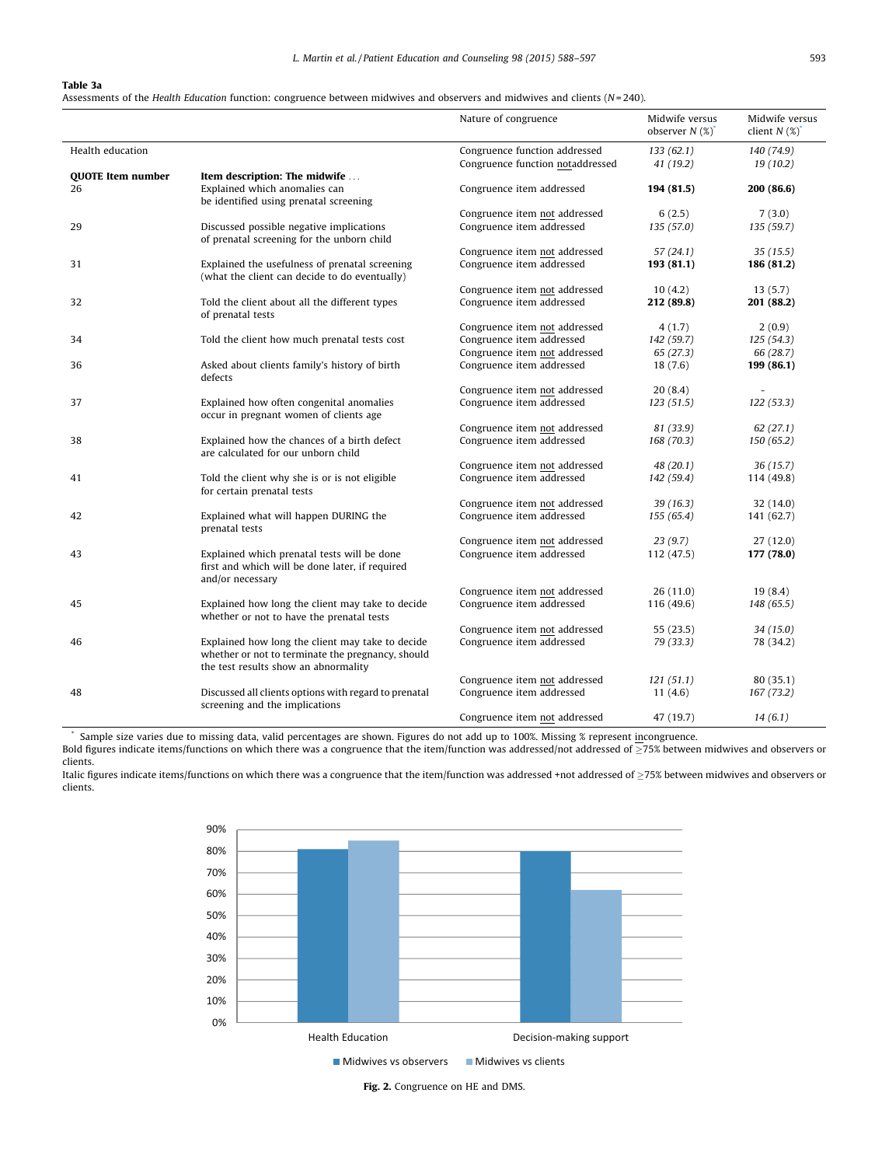#### <span id="page-5-0"></span>Table 3a

Assessments of the Health Education function: congruence between midwives and observers and midwives and clients (N= 240).

|                          |                                                                                                                                               | Nature of congruence             | Midwife versus<br>observer $N(\%)^{\dagger}$ | Midwife versus<br>client $N(\%)$ |
|--------------------------|-----------------------------------------------------------------------------------------------------------------------------------------------|----------------------------------|----------------------------------------------|----------------------------------|
| Health education         |                                                                                                                                               | Congruence function addressed    | 133 (62.1)                                   | 140 (74.9)                       |
|                          |                                                                                                                                               | Congruence function notaddressed | 41 (19.2)                                    | 19(10.2)                         |
| <b>QUOTE</b> Item number | Item description: The midwife                                                                                                                 |                                  |                                              |                                  |
| 26                       | Explained which anomalies can<br>be identified using prenatal screening                                                                       | Congruence item addressed        | 194 (81.5)                                   | 200 (86.6)                       |
|                          |                                                                                                                                               | Congruence item not addressed    | 6(2.5)                                       | 7(3.0)                           |
| 29                       | Discussed possible negative implications<br>of prenatal screening for the unborn child                                                        | Congruence item addressed        | 135 (57.0)                                   | 135 (59.7)                       |
|                          |                                                                                                                                               | Congruence item not addressed    | 57(24.1)                                     | 35(15.5)                         |
| 31                       | Explained the usefulness of prenatal screening<br>(what the client can decide to do eventually)                                               | Congruence item addressed        | 193 (81.1)                                   | 186 (81.2)                       |
|                          |                                                                                                                                               | Congruence item not addressed    | 10(4.2)                                      | 13(5.7)                          |
| 32                       | Told the client about all the different types<br>of prenatal tests                                                                            | Congruence item addressed        | 212 (89.8)                                   | 201 (88.2)                       |
|                          |                                                                                                                                               | Congruence item not addressed    | 4(1.7)                                       | 2(0.9)                           |
| 34                       | Told the client how much prenatal tests cost                                                                                                  | Congruence item addressed        | 142 (59.7)                                   | 125(54.3)                        |
|                          |                                                                                                                                               | Congruence item not addressed    | 65 (27.3)                                    | 66 (28.7)                        |
| 36                       | Asked about clients family's history of birth<br>defects                                                                                      | Congruence item addressed        | 18(7.6)                                      | 199 (86.1)                       |
|                          |                                                                                                                                               | Congruence item not addressed    | 20(8.4)                                      |                                  |
| 37                       | Explained how often congenital anomalies<br>occur in pregnant women of clients age                                                            | Congruence item addressed        | 123(51.5)                                    | 122(53.3)                        |
|                          |                                                                                                                                               | Congruence item not addressed    | 81 (33.9)                                    | 62(27.1)                         |
| 38                       | Explained how the chances of a birth defect<br>are calculated for our unborn child                                                            | Congruence item addressed        | 168 (70.3)                                   | 150(65.2)                        |
|                          |                                                                                                                                               | Congruence item not addressed    | 48 (20.1)                                    | 36 (15.7)                        |
| 41                       | Told the client why she is or is not eligible<br>for certain prenatal tests                                                                   | Congruence item addressed        | 142 (59.4)                                   | 114 (49.8)                       |
|                          |                                                                                                                                               | Congruence item not addressed    | 39(16.3)                                     | 32(14.0)                         |
| 42                       | Explained what will happen DURING the<br>prenatal tests                                                                                       | Congruence item addressed        | 155(65.4)                                    | 141 (62.7)                       |
|                          |                                                                                                                                               | Congruence item not addressed    | 23(9.7)                                      | 27(12.0)                         |
| 43                       | Explained which prenatal tests will be done<br>first and which will be done later, if required<br>and/or necessary                            | Congruence item addressed        | 112 (47.5)                                   | 177 (78.0)                       |
|                          |                                                                                                                                               | Congruence item not addressed    | 26(11.0)                                     | 19(8.4)                          |
| 45                       | Explained how long the client may take to decide<br>whether or not to have the prenatal tests                                                 | Congruence item addressed        | 116 (49.6)                                   | 148 (65.5)                       |
|                          |                                                                                                                                               | Congruence item not addressed    | 55 (23.5)                                    | 34 (15.0)                        |
| 46                       | Explained how long the client may take to decide<br>whether or not to terminate the pregnancy, should<br>the test results show an abnormality | Congruence item addressed        | 79 (33.3)                                    | 78 (34.2)                        |
|                          |                                                                                                                                               | Congruence item not addressed    | 121(51.1)                                    | 80(35.1)                         |
| 48                       | Discussed all clients options with regard to prenatal<br>screening and the implications                                                       | Congruence item addressed        | 11(4.6)                                      | 167 (73.2)                       |
|                          |                                                                                                                                               | Congruence item not addressed    | 47 (19.7)                                    | 14(6.1)                          |

\* Sample size varies due to missing data, valid percentages are shown. Figures do not add up to 100%. Missing % represent incongruence.

Bold figures indicate items/functions on which there was a congruence that the item/function was addressed/not addressed of  $\geq$ 75% between midwives and observers or clients.

Italic figures indicate items/functions on which there was a congruence that the item/function was addressed +not addressed of  $\geq$ 75% between midwives and observers or clients.

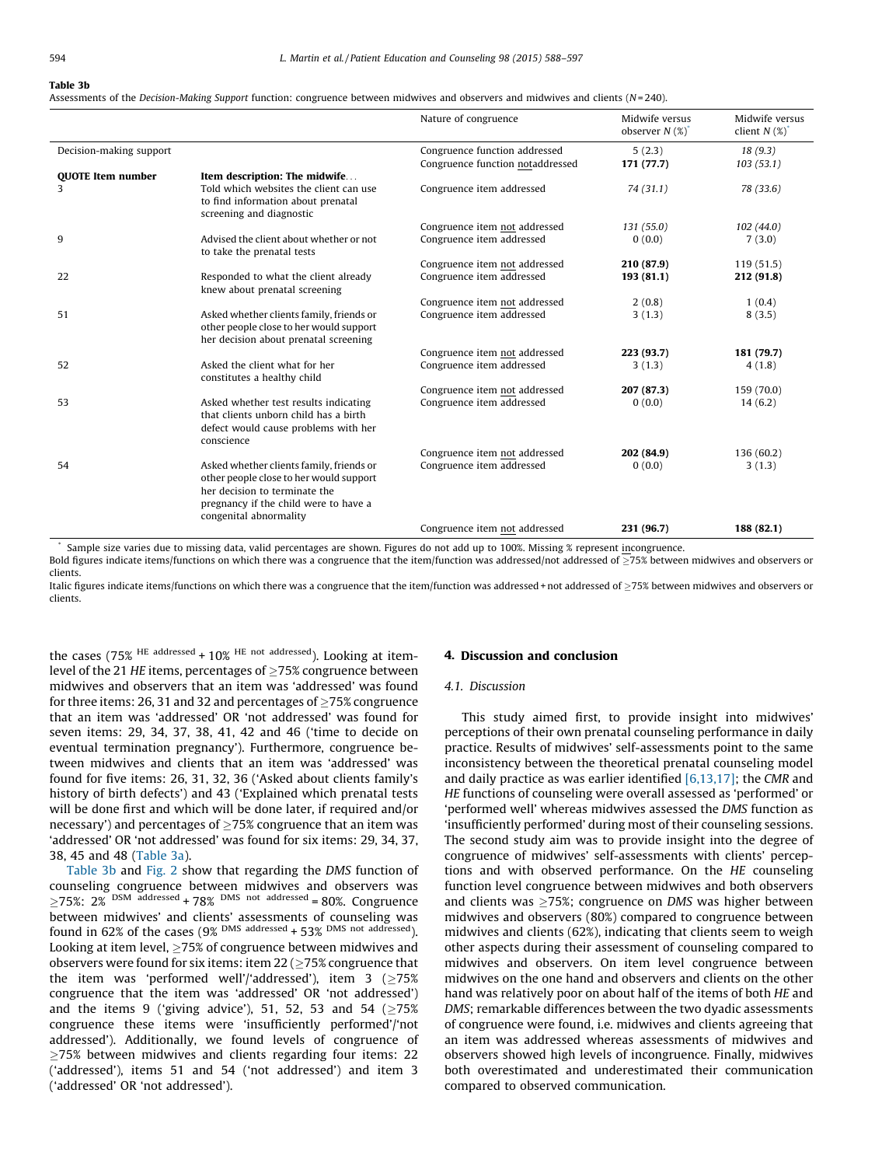#### Table 3b

Assessments of the Decision-Making Support function: congruence between midwives and observers and midwives and clients (N= 240).

|                          |                                                                                                                                                                                         | Nature of congruence                                              | Midwife versus<br>observer $N(\%)^*$ | Midwife versus<br>client $N(\%)^{\dagger}$ |
|--------------------------|-----------------------------------------------------------------------------------------------------------------------------------------------------------------------------------------|-------------------------------------------------------------------|--------------------------------------|--------------------------------------------|
| Decision-making support  |                                                                                                                                                                                         | Congruence function addressed<br>Congruence function notaddressed | 5(2.3)<br>171 (77.7)                 | 18(9.3)<br>103(53.1)                       |
| <b>QUOTE Item number</b> | Item description: The midwife                                                                                                                                                           |                                                                   |                                      |                                            |
| 3                        | Told which websites the client can use<br>to find information about prenatal<br>screening and diagnostic                                                                                | Congruence item addressed                                         | 74(31.1)                             | 78 (33.6)                                  |
|                          |                                                                                                                                                                                         | Congruence item not addressed                                     | 131(55.0)                            | 102(44.0)                                  |
| 9                        | Advised the client about whether or not<br>to take the prenatal tests                                                                                                                   | Congruence item addressed                                         | 0(0.0)                               | 7(3.0)                                     |
|                          |                                                                                                                                                                                         | Congruence item not addressed                                     | 210 (87.9)                           | 119(51.5)                                  |
| 22                       | Responded to what the client already<br>knew about prenatal screening                                                                                                                   | Congruence item addressed                                         | 193 (81.1)                           | 212 (91.8)                                 |
|                          |                                                                                                                                                                                         | Congruence item not addressed                                     | 2(0.8)                               | 1(0.4)                                     |
| 51                       | Asked whether clients family, friends or<br>other people close to her would support<br>her decision about prenatal screening                                                            | Congruence item addressed                                         | 3(1.3)                               | 8(3.5)                                     |
|                          |                                                                                                                                                                                         | Congruence item not addressed                                     | 223 (93.7)                           | 181 (79.7)                                 |
| 52                       | Asked the client what for her<br>constitutes a healthy child                                                                                                                            | Congruence item addressed                                         | 3(1.3)                               | 4(1.8)                                     |
|                          |                                                                                                                                                                                         | Congruence item not addressed                                     | 207 (87.3)                           | 159 (70.0)                                 |
| 53                       | Asked whether test results indicating<br>that clients unborn child has a birth<br>defect would cause problems with her<br>conscience                                                    | Congruence item addressed                                         | 0(0.0)                               | 14(6.2)                                    |
|                          |                                                                                                                                                                                         | Congruence item not addressed                                     | 202 (84.9)                           | 136 (60.2)                                 |
| 54                       | Asked whether clients family, friends or<br>other people close to her would support<br>her decision to terminate the<br>pregnancy if the child were to have a<br>congenital abnormality | Congruence item addressed                                         | 0(0.0)                               | 3(1.3)                                     |
|                          |                                                                                                                                                                                         | Congruence item not addressed                                     | 231 (96.7)                           | 188 (82.1)                                 |

Sample size varies due to missing data, valid percentages are shown. Figures do not add up to 100%. Missing % represent incongruence.

Bold figures indicate items/functions on which there was a congruence that the item/function was addressed/not addressed of  $\geq$ 75% between midwives and observers or clients.

Italic figures indicate items/functions on which there was a congruence that the item/function was addressed + not addressed of  $\geq$ 75% between midwives and observers or clients.

the cases (75% HE addressed  $+ 10%$  HE not addressed). Looking at itemlevel of the 21 HE items, percentages of  ${\geq}75\%$  congruence between midwives and observers that an item was 'addressed' was found for three items: 26, 31 and 32 and percentages of  $\geq$ 75% congruence that an item was 'addressed' OR 'not addressed' was found for seven items: 29, 34, 37, 38, 41, 42 and 46 ('time to decide on eventual termination pregnancy'). Furthermore, congruence between midwives and clients that an item was 'addressed' was found for five items: 26, 31, 32, 36 ('Asked about clients family's history of birth defects') and 43 ('Explained which prenatal tests will be done first and which will be done later, if required and/or necessary') and percentages of  ${\geq}75\%$  congruence that an item was 'addressed' OR 'not addressed' was found for six items: 29, 34, 37, 38, 45 and 48 ([Table](#page-5-0) 3a).

Table 3b and [Fig.](#page-5-0) 2 show that regarding the DMS function of counseling congruence between midwives and observers was  $\geq$ 75%: 2% DSM addressed + 78% DMS not addressed = 80%. Congruence between midwives' and clients' assessments of counseling was found in 62% of the cases ( $9\%$  DMS addressed +  $53\%$  DMS not addressed). Looking at item level,  ${\geq}75\%$  of congruence between midwives and observers were found for six items: item 22 ( $\geq$ 75% congruence that the item was 'performed well'/'addressed'), item 3  $(\geq 75\%$ congruence that the item was 'addressed' OR 'not addressed') and the items 9 ('giving advice'), 51, 52, 53 and 54 ( $\geq$ 75% congruence these items were 'insufficiently performed'/'not addressed'). Additionally, we found levels of congruence of  $\geq$ 75% between midwives and clients regarding four items: 22 ('addressed'), items 51 and 54 ('not addressed') and item 3 ('addressed' OR 'not addressed').

#### 4. Discussion and conclusion

#### 4.1. Discussion

This study aimed first, to provide insight into midwives' perceptions of their own prenatal counseling performance in daily practice. Results of midwives' self-assessments point to the same inconsistency between the theoretical prenatal counseling model and daily practice as was earlier identified  $[6,13,17]$ ; the CMR and HE functions of counseling were overall assessed as 'performed' or 'performed well' whereas midwives assessed the DMS function as 'insufficiently performed' during most of their counseling sessions. The second study aim was to provide insight into the degree of congruence of midwives' self-assessments with clients' perceptions and with observed performance. On the HE counseling function level congruence between midwives and both observers and clients was  $\geq$ 75%; congruence on DMS was higher between midwives and observers (80%) compared to congruence between midwives and clients (62%), indicating that clients seem to weigh other aspects during their assessment of counseling compared to midwives and observers. On item level congruence between midwives on the one hand and observers and clients on the other hand was relatively poor on about half of the items of both HE and DMS; remarkable differences between the two dyadic assessments of congruence were found, i.e. midwives and clients agreeing that an item was addressed whereas assessments of midwives and observers showed high levels of incongruence. Finally, midwives both overestimated and underestimated their communication compared to observed communication.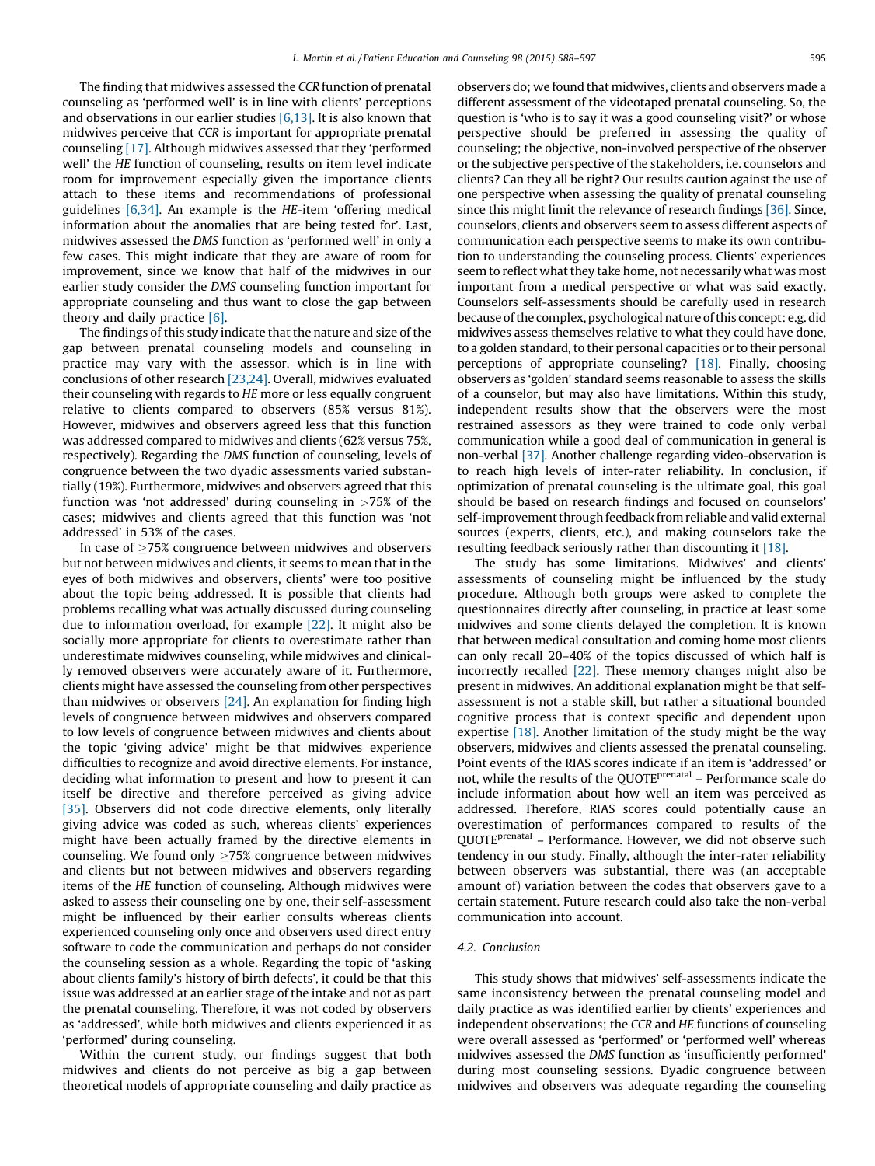The finding that midwives assessed the CCR function of prenatal counseling as 'performed well' is in line with clients' perceptions and observations in our earlier studies [\[6,13\]](#page-9-0). It is also known that midwives perceive that CCR is important for appropriate prenatal counseling [\[17\]](#page-9-0). Although midwives assessed that they 'performed well' the HE function of counseling, results on item level indicate room for improvement especially given the importance clients attach to these items and recommendations of professional guidelines [\[6,34\]](#page-9-0). An example is the HE-item 'offering medical information about the anomalies that are being tested for'. Last, midwives assessed the DMS function as 'performed well' in only a few cases. This might indicate that they are aware of room for improvement, since we know that half of the midwives in our earlier study consider the DMS counseling function important for appropriate counseling and thus want to close the gap between theory and daily practice [\[6\].](#page-9-0)

The findings of this study indicate that the nature and size of the gap between prenatal counseling models and counseling in practice may vary with the assessor, which is in line with conclusions of other research [\[23,24\]](#page-9-0). Overall, midwives evaluated their counseling with regards to HE more or less equally congruent relative to clients compared to observers (85% versus 81%). However, midwives and observers agreed less that this function was addressed compared to midwives and clients (62% versus 75%, respectively). Regarding the DMS function of counseling, levels of congruence between the two dyadic assessments varied substantially (19%). Furthermore, midwives and observers agreed that this function was 'not addressed' during counseling in  $>75\%$  of the cases; midwives and clients agreed that this function was 'not addressed' in 53% of the cases.

In case of  $\geq$ 75% congruence between midwives and observers but not between midwives and clients, it seems to mean that in the eyes of both midwives and observers, clients' were too positive about the topic being addressed. It is possible that clients had problems recalling what was actually discussed during counseling due to information overload, for example [\[22\].](#page-9-0) It might also be socially more appropriate for clients to overestimate rather than underestimate midwives counseling, while midwives and clinically removed observers were accurately aware of it. Furthermore, clients might have assessed the counseling from other perspectives than midwives or observers [\[24\]](#page-9-0). An explanation for finding high levels of congruence between midwives and observers compared to low levels of congruence between midwives and clients about the topic 'giving advice' might be that midwives experience difficulties to recognize and avoid directive elements. For instance, deciding what information to present and how to present it can itself be directive and therefore perceived as giving advice [\[35\]](#page-9-0). Observers did not code directive elements, only literally giving advice was coded as such, whereas clients' experiences might have been actually framed by the directive elements in counseling. We found only  $\geq$ 75% congruence between midwives and clients but not between midwives and observers regarding items of the HE function of counseling. Although midwives were asked to assess their counseling one by one, their self-assessment might be influenced by their earlier consults whereas clients experienced counseling only once and observers used direct entry software to code the communication and perhaps do not consider the counseling session as a whole. Regarding the topic of 'asking about clients family's history of birth defects', it could be that this issue was addressed at an earlier stage of the intake and not as part the prenatal counseling. Therefore, it was not coded by observers as 'addressed', while both midwives and clients experienced it as 'performed' during counseling.

Within the current study, our findings suggest that both midwives and clients do not perceive as big a gap between theoretical models of appropriate counseling and daily practice as observers do; we found that midwives, clients and observers made a different assessment of the videotaped prenatal counseling. So, the question is 'who is to say it was a good counseling visit?' or whose perspective should be preferred in assessing the quality of counseling; the objective, non-involved perspective of the observer or the subjective perspective of the stakeholders, i.e. counselors and clients? Can they all be right? Our results caution against the use of one perspective when assessing the quality of prenatal counseling since this might limit the relevance of research findings [\[36\].](#page-9-0) Since, counselors, clients and observers seem to assess different aspects of communication each perspective seems to make its own contribution to understanding the counseling process. Clients' experiences seem to reflect what they take home, not necessarily what was most important from a medical perspective or what was said exactly. Counselors self-assessments should be carefully used in research because of the complex, psychological nature of this concept: e.g. did midwives assess themselves relative to what they could have done, to a golden standard, to their personal capacities or to their personal perceptions of appropriate counseling? [\[18\]](#page-9-0). Finally, choosing observers as 'golden' standard seems reasonable to assess the skills of a counselor, but may also have limitations. Within this study, independent results show that the observers were the most restrained assessors as they were trained to code only verbal communication while a good deal of communication in general is non-verbal [\[37\].](#page-9-0) Another challenge regarding video-observation is to reach high levels of inter-rater reliability. In conclusion, if optimization of prenatal counseling is the ultimate goal, this goal should be based on research findings and focused on counselors' self-improvement through feedback from reliable and valid external sources (experts, clients, etc.), and making counselors take the resulting feedback seriously rather than discounting it [\[18\]](#page-9-0).

The study has some limitations. Midwives' and clients' assessments of counseling might be influenced by the study procedure. Although both groups were asked to complete the questionnaires directly after counseling, in practice at least some midwives and some clients delayed the completion. It is known that between medical consultation and coming home most clients can only recall 20–40% of the topics discussed of which half is incorrectly recalled [\[22\]](#page-9-0). These memory changes might also be present in midwives. An additional explanation might be that selfassessment is not a stable skill, but rather a situational bounded cognitive process that is context specific and dependent upon expertise [\[18\]](#page-9-0). Another limitation of the study might be the way observers, midwives and clients assessed the prenatal counseling. Point events of the RIAS scores indicate if an item is 'addressed' or not, while the results of the QUOTEprenatal – Performance scale do include information about how well an item was perceived as addressed. Therefore, RIAS scores could potentially cause an overestimation of performances compared to results of the QUOTEprenatal – Performance. However, we did not observe such tendency in our study. Finally, although the inter-rater reliability between observers was substantial, there was (an acceptable amount of) variation between the codes that observers gave to a certain statement. Future research could also take the non-verbal communication into account.

#### 4.2. Conclusion

This study shows that midwives' self-assessments indicate the same inconsistency between the prenatal counseling model and daily practice as was identified earlier by clients' experiences and independent observations; the CCR and HE functions of counseling were overall assessed as 'performed' or 'performed well' whereas midwives assessed the DMS function as 'insufficiently performed' during most counseling sessions. Dyadic congruence between midwives and observers was adequate regarding the counseling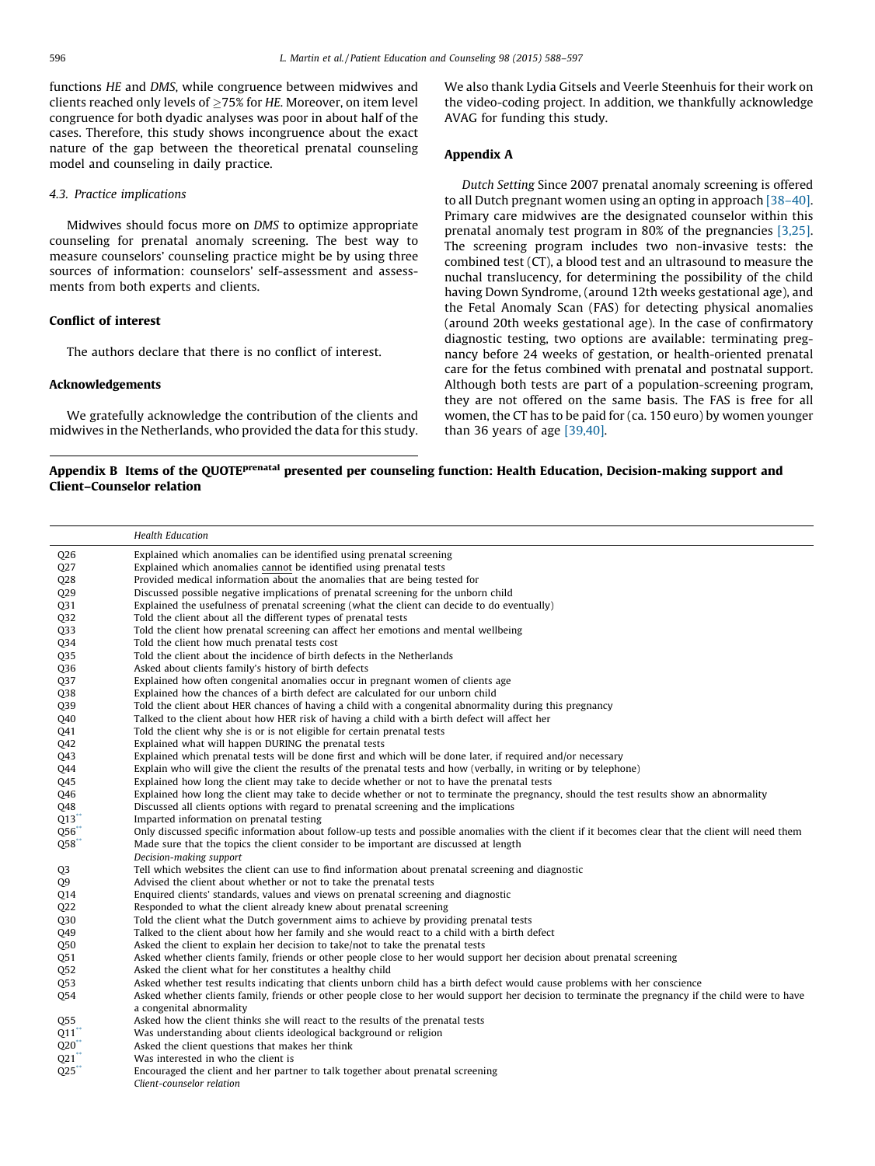<span id="page-8-0"></span>functions HE and DMS, while congruence between midwives and clients reached only levels of  ${\geq}$ 75% for HE. Moreover, on item level congruence for both dyadic analyses was poor in about half of the cases. Therefore, this study shows incongruence about the exact nature of the gap between the theoretical prenatal counseling model and counseling in daily practice.

#### 4.3. Practice implications

Midwives should focus more on DMS to optimize appropriate counseling for prenatal anomaly screening. The best way to measure counselors' counseling practice might be by using three sources of information: counselors' self-assessment and assessments from both experts and clients.

## Conflict of interest

The authors declare that there is no conflict of interest.

## Acknowledgements

We gratefully acknowledge the contribution of the clients and midwives in the Netherlands, who provided the data for this study. We also thank Lydia Gitsels and Veerle Steenhuis for their work on the video-coding project. In addition, we thankfully acknowledge AVAG for funding this study.

## Appendix A

Dutch Setting Since 2007 prenatal anomaly screening is offered to all Dutch pregnant women using an opting in approach [\[38–40\].](#page-9-0) Primary care midwives are the designated counselor within this prenatal anomaly test program in 80% of the pregnancies [\[3,25\].](#page-9-0) The screening program includes two non-invasive tests: the combined test (CT), a blood test and an ultrasound to measure the nuchal translucency, for determining the possibility of the child having Down Syndrome, (around 12th weeks gestational age), and the Fetal Anomaly Scan (FAS) for detecting physical anomalies (around 20th weeks gestational age). In the case of confirmatory diagnostic testing, two options are available: terminating pregnancy before 24 weeks of gestation, or health-oriented prenatal care for the fetus combined with prenatal and postnatal support. Although both tests are part of a population-screening program, they are not offered on the same basis. The FAS is free for all women, the CT has to be paid for (ca. 150 euro) by women younger than 36 years of age [\[39,40\].](#page-9-0)

## Appendix B Items of the QUOTE<sup>prenatal</sup> presented per counseling function: Health Education, Decision-making support and Client–Counselor relation

|                     | <b>Health Education</b>                                                                                                                                  |
|---------------------|----------------------------------------------------------------------------------------------------------------------------------------------------------|
| Q26                 | Explained which anomalies can be identified using prenatal screening                                                                                     |
| Q27                 | Explained which anomalies cannot be identified using prenatal tests                                                                                      |
| Q28                 | Provided medical information about the anomalies that are being tested for                                                                               |
| Q29                 | Discussed possible negative implications of prenatal screening for the unborn child                                                                      |
| Q31                 | Explained the usefulness of prenatal screening (what the client can decide to do eventually)                                                             |
| Q32                 | Told the client about all the different types of prenatal tests                                                                                          |
| Q33                 | Told the client how prenatal screening can affect her emotions and mental wellbeing                                                                      |
| Q34                 | Told the client how much prenatal tests cost                                                                                                             |
| Q35                 | Told the client about the incidence of birth defects in the Netherlands                                                                                  |
| Q36                 | Asked about clients family's history of birth defects                                                                                                    |
| Q37                 | Explained how often congenital anomalies occur in pregnant women of clients age                                                                          |
| Q38                 | Explained how the chances of a birth defect are calculated for our unborn child                                                                          |
| Q39                 | Told the client about HER chances of having a child with a congenital abnormality during this pregnancy                                                  |
| Q40                 | Talked to the client about how HER risk of having a child with a birth defect will affect her                                                            |
| Q41                 | Told the client why she is or is not eligible for certain prenatal tests                                                                                 |
| Q42                 | Explained what will happen DURING the prenatal tests                                                                                                     |
| Q43                 | Explained which prenatal tests will be done first and which will be done later, if required and/or necessary                                             |
| Q44                 | Explain who will give the client the results of the prenatal tests and how (verbally, in writing or by telephone)                                        |
| Q45                 | Explained how long the client may take to decide whether or not to have the prenatal tests                                                               |
| Q46                 | Explained how long the client may take to decide whether or not to terminate the pregnancy, should the test results show an abnormality                  |
| Q48                 | Discussed all clients options with regard to prenatal screening and the implications                                                                     |
| Q13                 | Imparted information on prenatal testing                                                                                                                 |
| Q56                 | Only discussed specific information about follow-up tests and possible anomalies with the client if it becomes clear that the client will need them      |
| $Q58$ **            | Made sure that the topics the client consider to be important are discussed at length                                                                    |
|                     | Decision-making support                                                                                                                                  |
| Q <sub>3</sub>      | Tell which websites the client can use to find information about prenatal screening and diagnostic                                                       |
| Q9                  | Advised the client about whether or not to take the prenatal tests<br>Enquired clients' standards, values and views on prenatal screening and diagnostic |
| Q14                 | Responded to what the client already knew about prenatal screening                                                                                       |
| Q22                 | Told the client what the Dutch government aims to achieve by providing prenatal tests                                                                    |
| Q30                 | Talked to the client about how her family and she would react to a child with a birth defect                                                             |
| Q49                 | Asked the client to explain her decision to take/not to take the prenatal tests                                                                          |
| Q50<br>Q51          | Asked whether clients family, friends or other people close to her would support her decision about prenatal screening                                   |
| Q52                 | Asked the client what for her constitutes a healthy child                                                                                                |
| Q53                 | Asked whether test results indicating that clients unborn child has a birth defect would cause problems with her conscience                              |
| 054                 | Asked whether clients family, friends or other people close to her would support her decision to terminate the pregnancy if the child were to have       |
|                     | a congenital abnormality                                                                                                                                 |
| Q55                 | Asked how the client thinks she will react to the results of the prenatal tests                                                                          |
| Q11                 | Was understanding about clients ideological background or religion                                                                                       |
| Q20                 | Asked the client questions that makes her think                                                                                                          |
| $Q21$ <sup>**</sup> | Was interested in who the client is                                                                                                                      |
| 025                 | Encouraged the client and her partner to talk together about prenatal screening                                                                          |
|                     | Client-counselor relation                                                                                                                                |